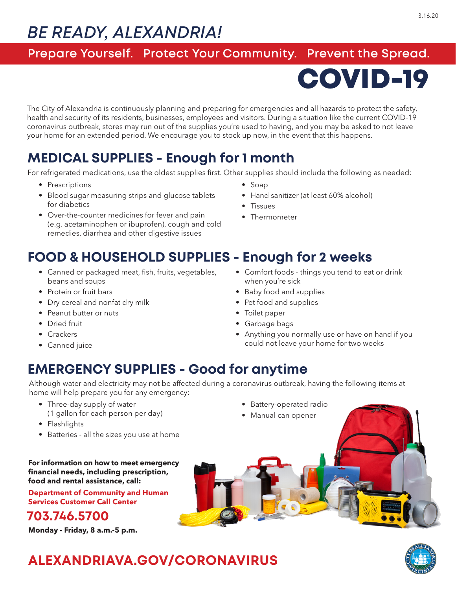# *BE READY, ALEXANDRIA!*

#### **Prepare Yourself. Protect Your Community. Prevent the Spread.**

COVID-19

The City of Alexandria is continuously planning and preparing for emergencies and all hazards to protect the safety, health and security of its residents, businesses, employees and visitors. During a situation like the current COVID-19 coronavirus outbreak, stores may run out of the supplies you're used to having, and you may be asked to not leave your home for an extended period. We encourage you to stock up now, in the event that this happens.

## **MEDICAL SUPPLIES - Enough for 1 month**

For refrigerated medications, use the oldest supplies first. Other supplies should include the following as needed:

- Prescriptions
- Blood sugar measuring strips and glucose tablets for diabetics
- Over-the-counter medicines for fever and pain (e.g. acetaminophen or ibuprofen), cough and cold remedies, diarrhea and other digestive issues
- Soap
- Hand sanitizer (at least 60% alcohol)
- Tissues
- Thermometer

### **FOOD & HOUSEHOLD SUPPLIES - Enough for 2 weeks**

- Canned or packaged meat, fish, fruits, vegetables, beans and soups
- Protein or fruit bars
- Dry cereal and nonfat dry milk
- Peanut butter or nuts
- Dried fruit
- Crackers
- Canned juice
- Comfort foods things you tend to eat or drink when you're sick
- Baby food and supplies
- Pet food and supplies
- Toilet paper
- Garbage bags
- Anything you normally use or have on hand if you could not leave your home for two weeks

### **EMERGENCY SUPPLIES - Good for anytime**

Although water and electricity may not be affected during a coronavirus outbreak, having the following items at home will help prepare you for any emergency:

- Three-day supply of water (1 gallon for each person per day)
- Flashlights
- Batteries all the sizes you use at home
- Battery-operated radio
- Manual can opener



**Department of Community and Human Services Customer Call Center**

#### **703.746.5700**

**Monday - Friday, 8 a.m.-5 p.m.**



## **ALEXANDRIAVA.GOV/CORONAVIRUS**